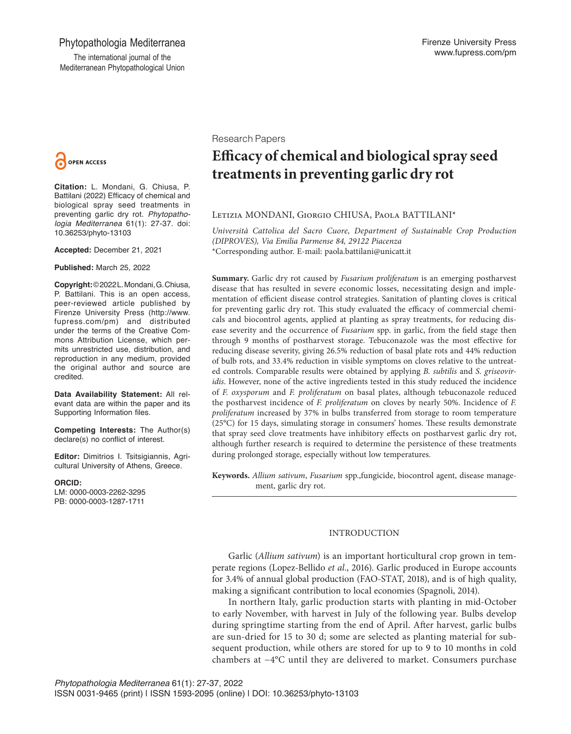## Phytopathologia Mediterranea

The international journal of the Mediterranean Phytopathological Union



**Citation:** L. Mondani, G. Chiusa, P. Battilani (2022) Efficacy of chemical and biological spray seed treatments in preventing garlic dry rot. *Phytopathologia Mediterranea* 61(1): 27-37. doi: 10.36253/phyto-13103

**Accepted:** December 21, 2021

**Published:** March 25, 2022

**Copyright:** © 2022 L. Mondani, G. Chiusa, P. Battilani. This is an open access, peer-reviewed article published by Firenze University Press (http://www. fupress.com/pm) and distributed under the terms of the Creative Commons Attribution License, which permits unrestricted use, distribution, and reproduction in any medium, provided the original author and source are credited.

**Data Availability Statement:** All relevant data are within the paper and its Supporting Information files.

**Competing Interests:** The Author(s) declare(s) no conflict of interest.

**Editor:** Dimitrios I. Tsitsigiannis, Agricultural University of Athens, Greece.

**ORCID:**

LM: 0000-0003-2262-3295 PB: 0000-0003-1287-1711

Research Papers

# **Efficacy of chemical and biological spray seed treatments in preventing garlic dry rot**

## Letizia MONDANI, Giorgio CHIUSA, Paola BATTILANI\*

*Università Cattolica del Sacro Cuore, Department of Sustainable Crop Production (DIPROVES), Via Emilia Parmense 84, 29122 Piacenza* \*Corresponding author. E-mail: paola.battilani@unicatt.it

**Summary.** Garlic dry rot caused by *Fusarium proliferatum* is an emerging postharvest disease that has resulted in severe economic losses, necessitating design and implementation of efficient disease control strategies. Sanitation of planting cloves is critical for preventing garlic dry rot. This study evaluated the efficacy of commercial chemicals and biocontrol agents, applied at planting as spray treatments, for reducing disease severity and the occurrence of *Fusarium* spp. in garlic, from the field stage then through 9 months of postharvest storage. Tebuconazole was the most effective for reducing disease severity, giving 26.5% reduction of basal plate rots and 44% reduction of bulb rots, and 33.4% reduction in visible symptoms on cloves relative to the untreated controls. Comparable results were obtained by applying *B. subtilis* and *S. griseoviridis*. However, none of the active ingredients tested in this study reduced the incidence of *F. oxysporum* and *F. proliferatum* on basal plates, although tebuconazole reduced the postharvest incidence of *F. proliferatum* on cloves by nearly 50%. Incidence of *F. proliferatum* increased by 37% in bulbs transferred from storage to room temperature (25°C) for 15 days, simulating storage in consumers' homes. These results demonstrate that spray seed clove treatments have inhibitory effects on postharvest garlic dry rot, although further research is required to determine the persistence of these treatments during prolonged storage, especially without low temperatures.

**Keywords.** *Allium sativum*, *Fusarium* spp.,fungicide, biocontrol agent, disease management, garlic dry rot.

## INTRODUCTION

Garlic (*Allium sativum*) is an important horticultural crop grown in temperate regions (Lopez‐Bellido *et al.*, 2016). Garlic produced in Europe accounts for 3.4% of annual global production (FAO-STAT, 2018), and is of high quality, making a significant contribution to local economies (Spagnoli, 2014).

In northern Italy, garlic production starts with planting in mid-October to early November, with harvest in July of the following year. Bulbs develop during springtime starting from the end of April. After harvest, garlic bulbs are sun-dried for 15 to 30 d; some are selected as planting material for subsequent production, while others are stored for up to 9 to 10 months in cold chambers at −4°C until they are delivered to market. Consumers purchase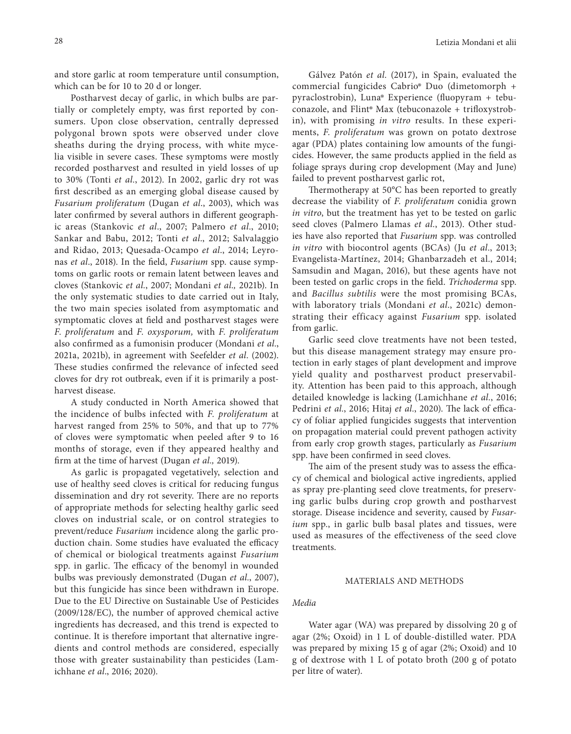and store garlic at room temperature until consumption, which can be for 10 to 20 d or longer.

Postharvest decay of garlic, in which bulbs are partially or completely empty, was first reported by consumers. Upon close observation, centrally depressed polygonal brown spots were observed under clove sheaths during the drying process, with white mycelia visible in severe cases. These symptoms were mostly recorded postharvest and resulted in yield losses of up to 30% (Tonti *et al.*, 2012). In 2002, garlic dry rot was first described as an emerging global disease caused by *Fusarium proliferatum* (Dugan *et al*., 2003), which was later confirmed by several authors in different geographic areas (Stankovic *et al*., 2007; Palmero *et al*., 2010; Sankar and Babu, 2012; Tonti *et al*., 2012; Salvalaggio and Ridao, 2013; Quesada-Ocampo *et al*., 2014; Leyronas *et al*., 2018). In the field, *Fusarium* spp. cause symptoms on garlic roots or remain latent between leaves and cloves (Stankovic *et al.*, 2007; Mondani *et al.,* 2021b). In the only systematic studies to date carried out in Italy, the two main species isolated from asymptomatic and symptomatic cloves at field and postharvest stages were *F. proliferatum* and *F. oxysporum,* with *F. proliferatum* also confirmed as a fumonisin producer (Mondani *et al*., 2021a, 2021b), in agreement with Seefelder *et al*. (2002). These studies confirmed the relevance of infected seed cloves for dry rot outbreak, even if it is primarily a postharvest disease.

A study conducted in North America showed that the incidence of bulbs infected with *F. proliferatum* at harvest ranged from 25% to 50%, and that up to 77% of cloves were symptomatic when peeled after 9 to 16 months of storage, even if they appeared healthy and firm at the time of harvest (Dugan *et al.,* 2019).

As garlic is propagated vegetatively, selection and use of healthy seed cloves is critical for reducing fungus dissemination and dry rot severity. There are no reports of appropriate methods for selecting healthy garlic seed cloves on industrial scale, or on control strategies to prevent/reduce *Fusarium* incidence along the garlic production chain. Some studies have evaluated the efficacy of chemical or biological treatments against *Fusarium* spp. in garlic. The efficacy of the benomyl in wounded bulbs was previously demonstrated (Dugan *et al.*, 2007), but this fungicide has since been withdrawn in Europe. Due to the EU Directive on Sustainable Use of Pesticides (2009/128/EC), the number of approved chemical active ingredients has decreased, and this trend is expected to continue. It is therefore important that alternative ingredients and control methods are considered, especially those with greater sustainability than pesticides (Lamichhane *et al*., 2016; 2020).

Gálvez Patón *et al.* (2017), in Spain, evaluated the commercial fungicides Cabrio*®* Duo (dimetomorph + pyraclostrobin), Luna*®* Experience (fluopyram + tebuconazole, and Flint*®* Max (tebuconazole + trifloxystrobin), with promising *in vitro* results. In these experiments, *F. proliferatum* was grown on potato dextrose agar (PDA) plates containing low amounts of the fungicides. However, the same products applied in the field as foliage sprays during crop development (May and June) failed to prevent postharvest garlic rot,

Thermotherapy at 50°C has been reported to greatly decrease the viability of *F. proliferatum* conidia grown *in vitro*, but the treatment has yet to be tested on garlic seed cloves (Palmero Llamas *et al.*, 2013). Other studies have also reported that *Fusarium* spp. was controlled *in vitro* with biocontrol agents (BCAs) (Ju *et al.*, 2013; Evangelista-Martínez, 2014; Ghanbarzadeh et al., 2014; Samsudin and Magan, 2016), but these agents have not been tested on garlic crops in the field. *Trichoderma* spp. and *Bacillus subtilis* were the most promising BCAs, with laboratory trials (Mondani *et al*., 2021c) demonstrating their efficacy against *Fusarium* spp. isolated from garlic.

Garlic seed clove treatments have not been tested, but this disease management strategy may ensure protection in early stages of plant development and improve yield quality and postharvest product preservability. Attention has been paid to this approach, although detailed knowledge is lacking (Lamichhane *et al.*, 2016; Pedrini *et al.*, 2016; Hitaj *et al.*, 2020). The lack of efficacy of foliar applied fungicides suggests that intervention on propagation material could prevent pathogen activity from early crop growth stages, particularly as *Fusarium*  spp. have been confirmed in seed cloves.

The aim of the present study was to assess the efficacy of chemical and biological active ingredients, applied as spray pre-planting seed clove treatments, for preserving garlic bulbs during crop growth and postharvest storage. Disease incidence and severity, caused by *Fusarium* spp., in garlic bulb basal plates and tissues, were used as measures of the effectiveness of the seed clove treatments.

#### MATERIALS AND METHODS

## *Media*

Water agar (WA) was prepared by dissolving 20 g of agar (2%; Oxoid) in 1 L of double-distilled water. PDA was prepared by mixing 15 g of agar (2%; Oxoid) and 10 g of dextrose with 1 L of potato broth (200 g of potato per litre of water).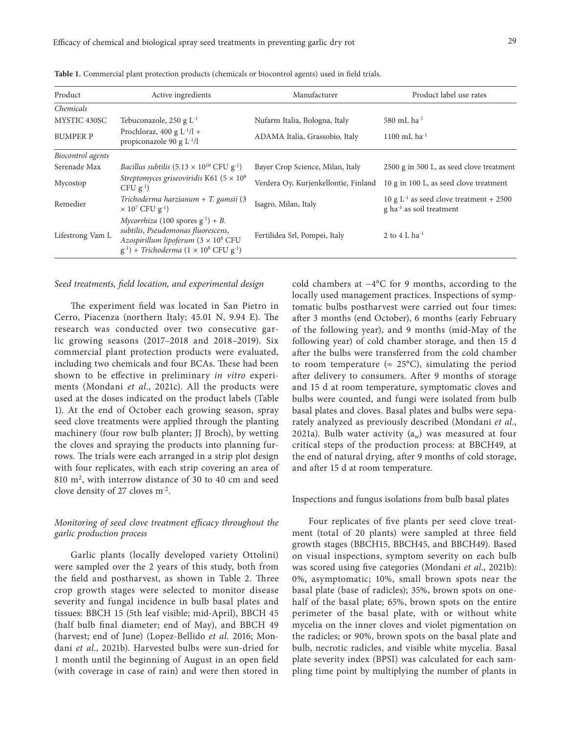| Product           | Active ingredients                                                  | Manufacturer                     | Product label use rates                  |  |  |
|-------------------|---------------------------------------------------------------------|----------------------------------|------------------------------------------|--|--|
| Chemicals         |                                                                     |                                  |                                          |  |  |
| MYSTIC 430SC      | Tebuconazole, 250 g L <sup>-1</sup>                                 | Nufarm Italia, Bologna, Italy    | 580 mL $ha^{-1}$                         |  |  |
| <b>BUMPER P</b>   | Prochloraz, 400 g $L^{-1}/l$ +<br>propiconazole 90 g $L^{-1}/l$     | ADAMA Italia, Grassobio, Italy   | 1100 mL ha $^{-1}$                       |  |  |
| Biocontrol agents |                                                                     |                                  |                                          |  |  |
| Serenade Max      | <i>Bacillus subtilis</i> $(5.13 \times 10^{10} \text{ CFU g}^{-1})$ | Bayer Crop Science, Milan, Italy | 2500 g in 500 L, as seed clove treatment |  |  |

Fertilidea Srl, Pompei, Italy 2 to 4 L ha<sup>-1</sup>

Verdera Oy, Kurjenkellontie, Finland 10 g in 100 L, as seed clove treatment

Isagro, Milan, Italy  $10 g L^{-1}$  as seed clove treatment + 2500

g ha-1 as soil treatment

Table 1. Commercial plant p

#### *Seed treatments, field location, and experimental design*

Mycostop *Streptomyces griseoviridis* K61 (5 × 10<sup>8</sup> CFU g<sup>-1</sup>)

Remedier *Trichoderma harzianum* + *T. gamsii* (3  $\times$  10<sup>7</sup> CFU g<sup>-1</sup>)

> $Mycorrhiza$  (100 spores  $g^{-1}$ ) + *B*. *subtilis*, *Pseudomonas fluorescens*, *Azospirillum lipoferum* (3 × 108 CFU  $(g^{-1})$  + *Trichoderma* ( $1 \times 10^8$  CFU  $g^{-1}$ )

Lifestrong Vam L

The experiment field was located in San Pietro in Cerro, Piacenza (northern Italy; 45.01 N, 9.94 E). The research was conducted over two consecutive garlic growing seasons (2017–2018 and 2018–2019). Six commercial plant protection products were evaluated, including two chemicals and four BCAs. These had been shown to be effective in preliminary *in vitro* experiments (Mondani *et al.*, 2021c). All the products were used at the doses indicated on the product labels (Table 1). At the end of October each growing season, spray seed clove treatments were applied through the planting machinery (four row bulb planter; JJ Broch), by wetting the cloves and spraying the products into planning furrows. The trials were each arranged in a strip plot design with four replicates, with each strip covering an area of 810 m2, with interrow distance of 30 to 40 cm and seed clove density of 27 cloves m-2.

## *Monitoring of seed clove treatment efficacy throughout the garlic production process*

Garlic plants (locally developed variety Ottolini) were sampled over the 2 years of this study, both from the field and postharvest, as shown in Table 2. Three crop growth stages were selected to monitor disease severity and fungal incidence in bulb basal plates and tissues: BBCH 15 (5th leaf visible; mid-April), BBCH 45 (half bulb final diameter; end of May), and BBCH 49 (harvest; end of June) (Lopez‐Bellido *et al.* 2016; Mondani *et al.*, 2021b). Harvested bulbs were sun-dried for 1 month until the beginning of August in an open field (with coverage in case of rain) and were then stored in cold chambers at −4°C for 9 months, according to the locally used management practices. Inspections of symptomatic bulbs postharvest were carried out four times: after 3 months (end October), 6 months (early February of the following year), and 9 months (mid-May of the following year) of cold chamber storage, and then 15 d after the bulbs were transferred from the cold chamber to room temperature ( $\approx$  25°C), simulating the period after delivery to consumers. After 9 months of storage and 15 d at room temperature, symptomatic cloves and bulbs were counted, and fungi were isolated from bulb basal plates and cloves. Basal plates and bulbs were separately analyzed as previously described (Mondani *et al.*, 2021a). Bulb water activity  $(a_w)$  was measured at four critical steps of the production process: at BBCH49, at the end of natural drying, after 9 months of cold storage, and after 15 d at room temperature.

#### Inspections and fungus isolations from bulb basal plates

Four replicates of five plants per seed clove treatment (total of 20 plants) were sampled at three field growth stages (BBCH15, BBCH45, and BBCH49). Based on visual inspections, symptom severity on each bulb was scored using five categories (Mondani *et al*., 2021b): 0%, asymptomatic; 10%, small brown spots near the basal plate (base of radicles); 35%, brown spots on onehalf of the basal plate; 65%, brown spots on the entire perimeter of the basal plate, with or without white mycelia on the inner cloves and violet pigmentation on the radicles; or 90%, brown spots on the basal plate and bulb, necrotic radicles, and visible white mycelia. Basal plate severity index (BPSI) was calculated for each sampling time point by multiplying the number of plants in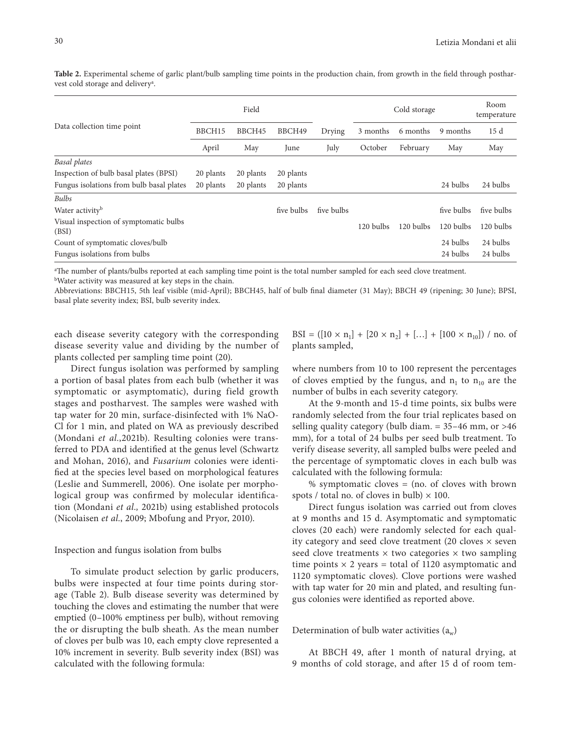**Table 2.** Experimental scheme of garlic plant/bulb sampling time points in the production chain, from growth in the field through postharvest cold storage and deliveryª.

|                                                 | Field     |           |            |            | Cold storage |           |            | Room<br>temperature |
|-------------------------------------------------|-----------|-----------|------------|------------|--------------|-----------|------------|---------------------|
| Data collection time point                      | BBCH15    | BBCH45    | BBCH49     | Drying     | 3 months     | 6 months  | 9 months   | 15d                 |
|                                                 | April     | May       | June       | July       | October      | February  | May        | May                 |
| Basal plates                                    |           |           |            |            |              |           |            |                     |
| Inspection of bulb basal plates (BPSI)          | 20 plants | 20 plants | 20 plants  |            |              |           |            |                     |
| Fungus isolations from bulb basal plates        | 20 plants | 20 plants | 20 plants  |            |              |           | 24 bulbs   | 24 bulbs            |
| <b>Bulbs</b>                                    |           |           |            |            |              |           |            |                     |
| Water activity <sup>b</sup>                     |           |           | five bulbs | five bulbs |              |           | five bulbs | five bulbs          |
| Visual inspection of symptomatic bulbs<br>(BSI) |           |           |            |            | 120 bulbs    | 120 bulbs | 120 bulbs  | 120 bulbs           |
| Count of symptomatic cloves/bulb                |           |           |            |            |              |           | 24 bulbs   | 24 bulbs            |
| Fungus isolations from bulbs                    |           |           |            |            |              |           | 24 bulbs   | 24 bulbs            |

a The number of plants/bulbs reported at each sampling time point is the total number sampled for each seed clove treatment.

bWater activity was measured at key steps in the chain.

Abbreviations: BBCH15, 5th leaf visible (mid-April); BBCH45, half of bulb final diameter (31 May); BBCH 49 (ripening; 30 June); BPSI, basal plate severity index; BSI, bulb severity index.

each disease severity category with the corresponding disease severity value and dividing by the number of plants collected per sampling time point (20).

Direct fungus isolation was performed by sampling a portion of basal plates from each bulb (whether it was symptomatic or asymptomatic), during field growth stages and postharvest. The samples were washed with tap water for 20 min, surface-disinfected with 1% NaO-Cl for 1 min, and plated on WA as previously described (Mondani *et al.*,2021b). Resulting colonies were transferred to PDA and identified at the genus level (Schwartz and Mohan, 2016), and *Fusarium* colonies were identified at the species level based on morphological features (Leslie and Summerell, 2006). One isolate per morphological group was confirmed by molecular identification (Mondani *et al.,* 2021b) using established protocols (Nicolaisen *et al.*, 2009; Mbofung and Pryor, 2010).

#### Inspection and fungus isolation from bulbs

To simulate product selection by garlic producers, bulbs were inspected at four time points during storage (Table 2). Bulb disease severity was determined by touching the cloves and estimating the number that were emptied (0–100% emptiness per bulb), without removing the or disrupting the bulb sheath. As the mean number of cloves per bulb was 10, each empty clove represented a 10% increment in severity. Bulb severity index (BSI) was calculated with the following formula:

BSI =  $([10 \times n_1] + [20 \times n_2] + [...] + [100 \times n_{10}]) /$  no. of plants sampled,

where numbers from 10 to 100 represent the percentages of cloves emptied by the fungus, and  $n_1$  to  $n_{10}$  are the number of bulbs in each severity category.

At the 9-month and 15-d time points, six bulbs were randomly selected from the four trial replicates based on selling quality category (bulb diam.  $= 35-46$  mm, or  $>46$ mm), for a total of 24 bulbs per seed bulb treatment. To verify disease severity, all sampled bulbs were peeled and the percentage of symptomatic cloves in each bulb was calculated with the following formula:

% symptomatic cloves  $=$  (no. of cloves with brown spots / total no. of cloves in bulb)  $\times$  100.

Direct fungus isolation was carried out from cloves at 9 months and 15 d. Asymptomatic and symptomatic cloves (20 each) were randomly selected for each quality category and seed clove treatment (20 cloves  $\times$  seven seed clove treatments  $\times$  two categories  $\times$  two sampling time points  $\times$  2 years = total of 1120 asymptomatic and 1120 symptomatic cloves). Clove portions were washed with tap water for 20 min and plated, and resulting fungus colonies were identified as reported above.

## Determination of bulb water activities  $(a_w)$

At BBCH 49, after 1 month of natural drying, at 9 months of cold storage, and after 15 d of room tem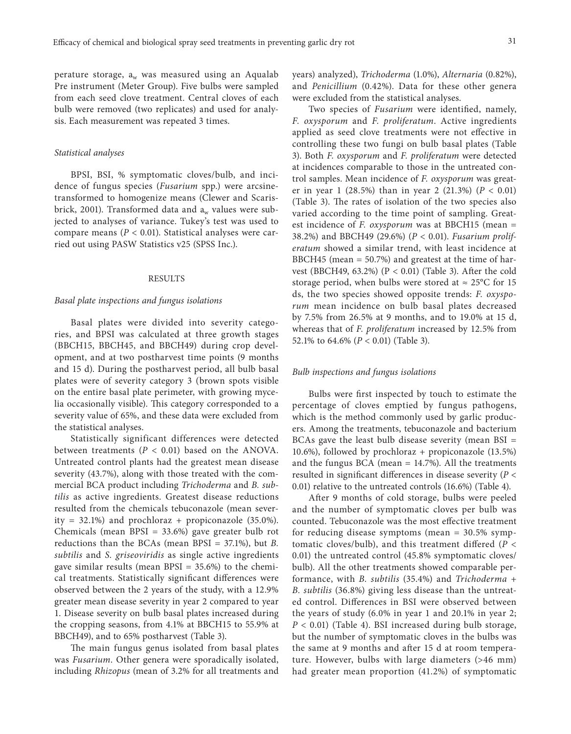perature storage,  $a_w$  was measured using an Aqualab Pre instrument (Meter Group). Five bulbs were sampled from each seed clove treatment. Central cloves of each bulb were removed (two replicates) and used for analysis. Each measurement was repeated 3 times.

#### *Statistical analyses*

BPSI, BSI, % symptomatic cloves/bulb, and incidence of fungus species (*Fusarium* spp.) were arcsinetransformed to homogenize means (Clewer and Scarisbrick, 2001). Transformed data and  $a_w$  values were subjected to analyses of variance. Tukey's test was used to compare means (*P* < 0.01). Statistical analyses were carried out using PASW Statistics v25 (SPSS Inc.).

#### RESULTS

#### *Basal plate inspections and fungus isolations*

Basal plates were divided into severity categories, and BPSI was calculated at three growth stages (BBCH15, BBCH45, and BBCH49) during crop development, and at two postharvest time points (9 months and 15 d). During the postharvest period, all bulb basal plates were of severity category 3 (brown spots visible on the entire basal plate perimeter, with growing mycelia occasionally visible). This category corresponded to a severity value of 65%, and these data were excluded from the statistical analyses.

Statistically significant differences were detected between treatments  $(P < 0.01)$  based on the ANOVA. Untreated control plants had the greatest mean disease severity (43.7%), along with those treated with the commercial BCA product including *Trichoderma* and *B. subtilis* as active ingredients. Greatest disease reductions resulted from the chemicals tebuconazole (mean severity = 32.1%) and prochloraz + propiconazole  $(35.0\%)$ . Chemicals (mean BPSI = 33.6%) gave greater bulb rot reductions than the BCAs (mean BPSI = 37.1%), but *B. subtilis* and *S. griseoviridis* as single active ingredients gave similar results (mean  $BPSI = 35.6\%$ ) to the chemical treatments. Statistically significant differences were observed between the 2 years of the study, with a 12.9% greater mean disease severity in year 2 compared to year 1. Disease severity on bulb basal plates increased during the cropping seasons, from 4.1% at BBCH15 to 55.9% at BBCH49), and to 65% postharvest (Table 3).

The main fungus genus isolated from basal plates was *Fusarium*. Other genera were sporadically isolated, including *Rhizopus* (mean of 3.2% for all treatments and years) analyzed), *Trichoderma* (1.0%), *Alternaria* (0.82%), and *Penicillium* (0.42%). Data for these other genera were excluded from the statistical analyses.

Two species of *Fusarium* were identified, namely, *F. oxysporum* and *F. proliferatum*. Active ingredients applied as seed clove treatments were not effective in controlling these two fungi on bulb basal plates (Table 3). Both *F. oxysporum* and *F. proliferatum* were detected at incidences comparable to those in the untreated control samples. Mean incidence of *F. oxysporum* was greater in year 1 (28.5%) than in year 2 (21.3%) (*P* < 0.01) (Table 3). The rates of isolation of the two species also varied according to the time point of sampling. Greatest incidence of *F. oxysporum* was at BBCH15 (mean = 38.2%) and BBCH49 (29.6%) (*P* < 0.01). *Fusarium proliferatum* showed a similar trend, with least incidence at BBCH45 (mean = 50.7%) and greatest at the time of harvest (BBCH49, 63.2%) ( $P < 0.01$ ) (Table 3). After the cold storage period, when bulbs were stored at  $\approx 25^{\circ}$ C for 15 ds, the two species showed opposite trends: *F. oxysporum* mean incidence on bulb basal plates decreased by 7.5% from 26.5% at 9 months, and to 19.0% at 15 d, whereas that of *F. proliferatum* increased by 12.5% from 52.1% to 64.6% (*P* < 0.01) (Table 3).

#### *Bulb inspections and fungus isolations*

Bulbs were first inspected by touch to estimate the percentage of cloves emptied by fungus pathogens, which is the method commonly used by garlic producers. Among the treatments, tebuconazole and bacterium BCAs gave the least bulb disease severity (mean BSI = 10.6%), followed by prochloraz + propiconazole (13.5%) and the fungus BCA (mean  $= 14.7$ %). All the treatments resulted in significant differences in disease severity (*P* < 0.01) relative to the untreated controls (16.6%) (Table 4).

After 9 months of cold storage, bulbs were peeled and the number of symptomatic cloves per bulb was counted. Tebuconazole was the most effective treatment for reducing disease symptoms (mean = 30.5% symptomatic cloves/bulb), and this treatment differed (*P* < 0.01) the untreated control (45.8% symptomatic cloves/ bulb). All the other treatments showed comparable performance, with *B. subtilis* (35.4%) and *Trichoderma + B. subtilis* (36.8%) giving less disease than the untreated control. Differences in BSI were observed between the years of study (6.0% in year 1 and 20.1% in year 2; *P* < 0.01) (Table 4). BSI increased during bulb storage, but the number of symptomatic cloves in the bulbs was the same at 9 months and after 15 d at room temperature. However, bulbs with large diameters (>46 mm) had greater mean proportion (41.2%) of symptomatic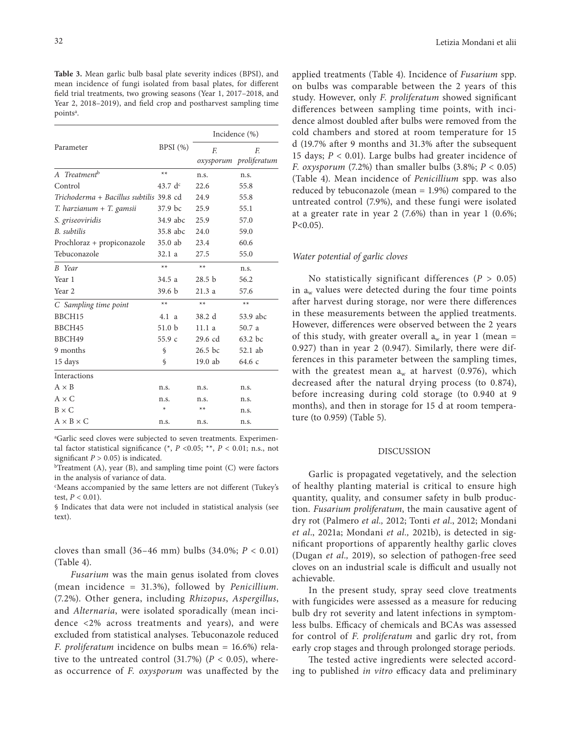**Table 3.** Mean garlic bulb basal plate severity indices (BPSI), and mean incidence of fungi isolated from basal plates, for different field trial treatments, two growing seasons (Year 1, 2017–2018, and Year 2, 2018–2019), and field crop and postharvest sampling time pointsª.

|                                         |                   | Incidence (%)     |                        |  |  |
|-----------------------------------------|-------------------|-------------------|------------------------|--|--|
| Parameter                               | BPSI $(\%)$       | F.                | F.                     |  |  |
|                                         |                   |                   | oxysporum proliferatum |  |  |
| A Treatment <sup>b</sup>                | $**$              | n.s.              | n.s.                   |  |  |
| Control                                 | 43.7 $d^c$        | 22.6              | 55.8                   |  |  |
| Trichoderma + Bacillus subtilis 39.8 cd |                   | 24.9              | 55.8                   |  |  |
| $T.$ harzianum + $T.$ gamsii            | 37.9 bc           | 25.9              | 55.1                   |  |  |
| S. griseoviridis                        | 34.9 abc          | 25.9              | 57.0                   |  |  |
| B. subtilis                             | 35.8 abc          | 24.0              | 59.0                   |  |  |
| Prochloraz + propiconazole              | 35.0 ab           | 23.4              | 60.6                   |  |  |
| Tebuconazole                            | 32.1 a            | 27.5              | 55.0                   |  |  |
| <b>B</b> Year                           | $**$              | $**$              | n.s.                   |  |  |
| Year 1                                  | 34.5 a            | 28.5 <sub>b</sub> | 56.2                   |  |  |
| Year <sub>2</sub>                       | 39.6 <sub>b</sub> | 21.3a             | 57.6                   |  |  |
| C Sampling time point                   | $**$              | $**$              | $**$                   |  |  |
| BBCH15                                  | 4.1 a             | 38.2 d            | 53.9 abc               |  |  |
| BBCH45                                  | 51.0 <sub>b</sub> | 11.1a             | 50.7 a                 |  |  |
| BBCH49                                  | 55.9c             | $29.6$ cd         | 63.2 bc                |  |  |
| 9 months                                | \$                | $26.5$ bc         | 52.1 ab                |  |  |
| 15 days                                 | $\mathcal{S}$     | $19.0$ ab         | 64.6 c                 |  |  |
| <b>Interactions</b>                     |                   |                   |                        |  |  |
| $A \times B$                            | n.s.              | n.s.              | n.s.                   |  |  |
| $A \times C$                            | n.s.              | n.s.              | n.s.                   |  |  |
| $B \times C$                            | ∗                 | $**$              | n.s.                   |  |  |
| $A \times B \times C$                   | n.s.              | n.s.              | n.s.                   |  |  |

a Garlic seed cloves were subjected to seven treatments. Experimental factor statistical significance (\*,  $P$  <0.05; \*\*,  $P$  < 0.01; n.s., not significant  $P > 0.05$ ) is indicated.

<sup>b</sup>Treatment (A), year (B), and sampling time point (C) were factors in the analysis of variance of data.

c Means accompanied by the same letters are not different (Tukey's test,  $P < 0.01$ ).

§ Indicates that data were not included in statistical analysis (see text).

cloves than small  $(36-46 \text{ mm})$  bulbs  $(34.0\%; P < 0.01)$ (Table 4).

*Fusarium* was the main genus isolated from cloves (mean incidence = 31.3%), followed by *Penicillium*. (7.2%). Other genera, including *Rhizopus*, *Aspergillus*, and *Alternaria*, were isolated sporadically (mean incidence <2% across treatments and years), and were excluded from statistical analyses. Tebuconazole reduced *F. proliferatum* incidence on bulbs mean = 16.6%) relative to the untreated control  $(31.7%)$   $(P < 0.05)$ , whereas occurrence of *F. oxysporum* was unaffected by the

applied treatments (Table 4). Incidence of *Fusarium* spp. on bulbs was comparable between the 2 years of this study. However, only *F. proliferatum* showed significant differences between sampling time points, with incidence almost doubled after bulbs were removed from the cold chambers and stored at room temperature for 15 d (19.7% after 9 months and 31.3% after the subsequent 15 days; *P* < 0.01). Large bulbs had greater incidence of *F. oxysporum* (7.2%) than smaller bulbs (3.8%; *P* < 0.05) (Table 4). Mean incidence of *Penicillium* spp. was also reduced by tebuconazole (mean  $= 1.9\%$ ) compared to the untreated control (7.9%), and these fungi were isolated at a greater rate in year 2 (7.6%) than in year 1 (0.6%;  $P < 0.05$ ).

## *Water potential of garlic cloves*

No statistically significant differences (*P* > 0.05) in  $a_w$  values were detected during the four time points after harvest during storage, nor were there differences in these measurements between the applied treatments. However, differences were observed between the 2 years of this study, with greater overall  $a_w$  in year 1 (mean = 0.927) than in year 2 (0.947). Similarly, there were differences in this parameter between the sampling times, with the greatest mean  $a_w$  at harvest (0.976), which decreased after the natural drying process (to 0.874), before increasing during cold storage (to 0.940 at 9 months), and then in storage for 15 d at room temperature (to 0.959) (Table 5).

## DISCUSSION

Garlic is propagated vegetatively, and the selection of healthy planting material is critical to ensure high quantity, quality, and consumer safety in bulb production. *Fusarium proliferatum*, the main causative agent of dry rot (Palmero *et al.,* 2012; Tonti *et al*., 2012; Mondani *et al*., 2021a; Mondani *et al.,* 2021b), is detected in significant proportions of apparently healthy garlic cloves (Dugan *et al.,* 2019), so selection of pathogen-free seed cloves on an industrial scale is difficult and usually not achievable.

In the present study, spray seed clove treatments with fungicides were assessed as a measure for reducing bulb dry rot severity and latent infections in symptomless bulbs. Efficacy of chemicals and BCAs was assessed for control of *F. proliferatum* and garlic dry rot, from early crop stages and through prolonged storage periods.

The tested active ingredients were selected according to published *in vitro* efficacy data and preliminary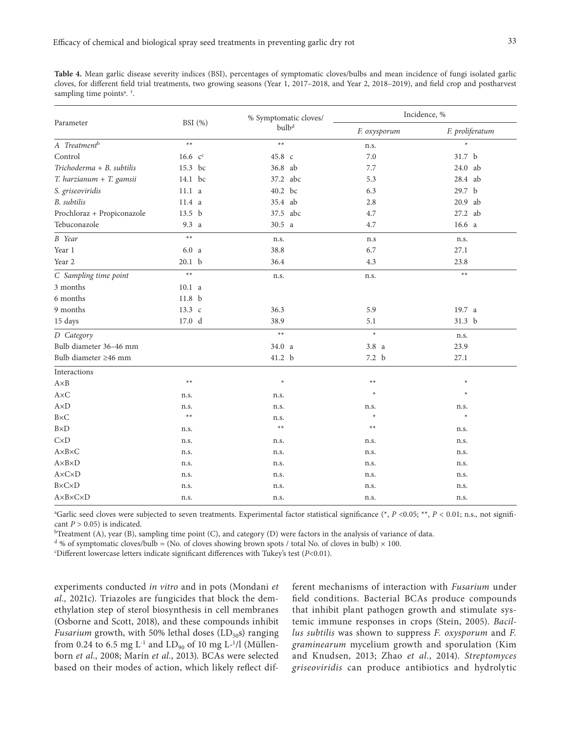**Table 4.** Mean garlic disease severity indices (BSI), percentages of symptomatic cloves/bulbs and mean incidence of fungi isolated garlic cloves, for different field trial treatments, two growing seasons (Year 1, 2017–2018, and Year 2, 2018–2019), and field crop and postharvest sampling time pointsª. †.

|                                |                   | % Symptomatic cloves/ | Incidence, %     |                   |  |  |
|--------------------------------|-------------------|-----------------------|------------------|-------------------|--|--|
| Parameter                      | BSI $(\% )$       | bulb <sup>d</sup>     | F. oxysporum     | F. proliferatum   |  |  |
| A Treatment <sup>b</sup>       | $**$              | $**$                  | n.s.             |                   |  |  |
| Control                        | $16.6 \, c^c$     | 45.8 c                | 7.0              | 31.7 b            |  |  |
| Trichoderma + B. subtilis      | 15.3 bc           | 36.8 ab               | 7.7              | 24.0 ab           |  |  |
| T. harzianum + T. gamsii       | 14.1 bc           | 37.2 abc              | 5.3              | 28.4 ab           |  |  |
| S. griseoviridis               | 11.1 <sub>a</sub> | 40.2 bc               | 6.3              | 29.7 b            |  |  |
| <b>B.</b> subtilis             | 11.4 a            | 35.4 ab               | 2.8              | 20.9 ab           |  |  |
| Prochloraz + Propiconazole     | 13.5 <sub>b</sub> | 37.5 abc              | 4.7              | 27.2 ab           |  |  |
| Tebuconazole                   | 9.3 a             | 30.5 a                | 4.7              | 16.6 <sub>a</sub> |  |  |
| <b>B</b> Year                  | $**$              | n.s.                  | n.s              | n.s.              |  |  |
| Year 1                         | 6.0 <sub>a</sub>  | 38.8                  | 6.7              | 27.1              |  |  |
| Year 2                         | 20.1 <sub>b</sub> | 36.4                  | 4.3              | 23.8              |  |  |
| C Sampling time point          | $**$              | n.s.                  | n.s.             | $**$              |  |  |
| 3 months                       | 10.1 <sub>a</sub> |                       |                  |                   |  |  |
| 6 months                       | 11.8 <sub>b</sub> |                       |                  |                   |  |  |
| 9 months                       | 13.3 c            | 36.3                  | 5.9              | 19.7 a            |  |  |
| 15 days                        | 17.0 <sub>d</sub> | 38.9                  | 5.1              | 31.3 <sub>b</sub> |  |  |
| D Category                     |                   | $**$                  | $\star$          | n.s.              |  |  |
| Bulb diameter 36-46 mm         |                   | 34.0 a                | 3.8 <sub>a</sub> | 23.9              |  |  |
| Bulb diameter ≥46 mm           |                   | 41.2 b                | 7.2 b            | 27.1              |  |  |
| Interactions                   |                   |                       |                  |                   |  |  |
| $A \times B$                   | $***$             | $\star$               | $**$             | $\ast$            |  |  |
| $A \times C$                   | n.s.              | n.s.                  | $\ast$           | $\star$           |  |  |
| $A\times D$                    | n.s.              | n.s.                  | n.s.             | n.s.              |  |  |
| $B\times C$                    | $**$              | n.s.                  | $\star$          | ∗                 |  |  |
| $B\times D$                    | n.s.              | $**$                  | $**$             | n.s.              |  |  |
| CxD                            | n.s.              | n.s.                  | n.s.             | n.s.              |  |  |
| $A \times B \times C$          | n.s.              | n.s.                  | n.s.             | n.s.              |  |  |
| $A \times B \times D$          | n.s.              | n.s.                  | n.s.             | n.s.              |  |  |
| $A \times C \times D$          | n.s.              | n.s.                  | n.s.             | n.s.              |  |  |
| <b>B</b> ×C×D                  | n.s.              | n.s.                  | n.s.             | n.s.              |  |  |
| $A \times B \times C \times D$ | n.s.              | n.s.                  | n.s.             | n.s.              |  |  |

a Garlic seed cloves were subjected to seven treatments. Experimental factor statistical significance (\*, *P* <0.05; \*\*, *P* < 0.01; n.s., not significant *P* > 0.05) is indicated.<br><sup>b</sup>Treatment (A), year (B), sampling time point (C), and category (D) were factors in the analysis of variance of data.

<sup>d</sup> % of symptomatic cloves/bulb = (No. of cloves showing brown spots / total No. of cloves in bulb)  $\times$  100.

c Different lowercase letters indicate significant differences with Tukey's test (*P*<0.01).

experiments conducted *in vitro* and in pots (Mondani *et al.,* 2021c). Triazoles are fungicides that block the demethylation step of sterol biosynthesis in cell membranes (Osborne and Scott, 2018), and these compounds inhibit *Fusarium* growth, with 50% lethal doses  $(LD_{50}s)$  ranging from 0.24 to 6.5 mg  $L^{-1}$  and  $LD_{90}$  of 10 mg  $L^{-1}/l$  (Müllenborn *et al.*, 2008; Marín *et al.*, 2013). BCAs were selected based on their modes of action, which likely reflect different mechanisms of interaction with *Fusarium* under field conditions. Bacterial BCAs produce compounds that inhibit plant pathogen growth and stimulate systemic immune responses in crops (Stein, 2005). *Bacillus subtilis* was shown to suppress *F. oxysporum* and *F. graminearum* mycelium growth and sporulation (Kim and Knudsen, 2013; Zhao *et al.*, 2014). *Streptomyces griseoviridis* can produce antibiotics and hydrolytic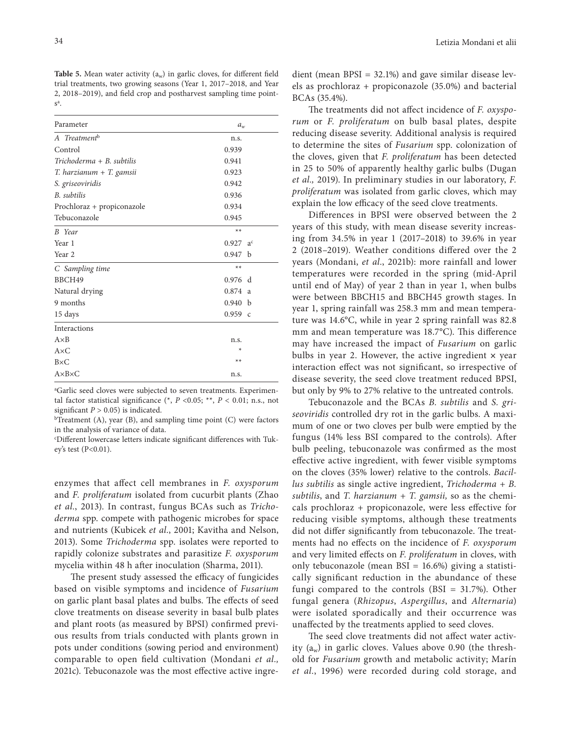**Table 5.** Mean water activity  $(a_w)$  in garlic cloves, for different field trial treatments, two growing seasons (Year 1, 2017–2018, and Year 2, 2018–2019), and field crop and postharvest sampling time point $s^a$ .

| Parameter                  | $a_w$                |  |  |  |
|----------------------------|----------------------|--|--|--|
| A Treatment <sup>b</sup>   | n.s.                 |  |  |  |
| Control                    | 0.939                |  |  |  |
| Trichoderma + B. subtilis  | 0.941                |  |  |  |
| T. harzianum + T. gamsii   | 0.923                |  |  |  |
| S. griseoviridis           | 0.942                |  |  |  |
| <b>B.</b> subtilis         | 0.936                |  |  |  |
| Prochloraz + propiconazole | 0.934                |  |  |  |
| Tebuconazole               | 0.945                |  |  |  |
| <b>B</b> Year              | $**$                 |  |  |  |
| Year 1                     | 0.927 a <sup>c</sup> |  |  |  |
| Year 2                     | 0.947 b              |  |  |  |
| C Sampling time            | $**$                 |  |  |  |
| BBCH49                     | 0.976 d              |  |  |  |
| Natural drying             | 0.874 a              |  |  |  |
| 9 months                   | 0.940 <sub>b</sub>   |  |  |  |
| 15 days                    | $0.959$ c            |  |  |  |
| Interactions               |                      |  |  |  |
| $A \times B$               | n.s.                 |  |  |  |
| $A \times C$               | ∗                    |  |  |  |
| $B\times C$                | $**$                 |  |  |  |
| $A \times B \times C$      | n.s.                 |  |  |  |
|                            |                      |  |  |  |

a Garlic seed cloves were subjected to seven treatments. Experimental factor statistical significance  $(*, P < 0.05; **, P < 0.01; n.s., not$ 

significant  $P > 0.05$ ) is indicated.<br><sup>b</sup>Treatment (A), year (B), and sampling time point (C) were factors in the analysis of variance of data.

c Different lowercase letters indicate significant differences with Tukey's test (P<0.01).

enzymes that affect cell membranes in *F. oxysporum* and *F. proliferatum* isolated from cucurbit plants (Zhao *et al.*, 2013). In contrast, fungus BCAs such as *Trichoderma* spp. compete with pathogenic microbes for space and nutrients (Kubicek *et al.*, 2001; Kavitha and Nelson, 2013). Some *Trichoderma* spp. isolates were reported to rapidly colonize substrates and parasitize *F. oxysporum* mycelia within 48 h after inoculation (Sharma, 2011).

The present study assessed the efficacy of fungicides based on visible symptoms and incidence of *Fusarium* on garlic plant basal plates and bulbs. The effects of seed clove treatments on disease severity in basal bulb plates and plant roots (as measured by BPSI) confirmed previous results from trials conducted with plants grown in pots under conditions (sowing period and environment) comparable to open field cultivation (Mondani *et al.,* 2021c). Tebuconazole was the most effective active ingredient (mean BPSI = 32.1%) and gave similar disease levels as prochloraz + propiconazole (35.0%) and bacterial BCAs (35.4%).

The treatments did not affect incidence of *F. oxysporum* or *F. proliferatum* on bulb basal plates, despite reducing disease severity. Additional analysis is required to determine the sites of *Fusarium* spp. colonization of the cloves, given that *F. proliferatum* has been detected in 25 to 50% of apparently healthy garlic bulbs (Dugan *et al.,* 2019). In preliminary studies in our laboratory, *F. proliferatum* was isolated from garlic cloves, which may explain the low efficacy of the seed clove treatments.

Differences in BPSI were observed between the 2 years of this study, with mean disease severity increasing from 34.5% in year 1 (2017–2018) to 39.6% in year 2 (2018–2019). Weather conditions differed over the 2 years (Mondani, *et al.*, 2021b): more rainfall and lower temperatures were recorded in the spring (mid-April until end of May) of year 2 than in year 1, when bulbs were between BBCH15 and BBCH45 growth stages. In year 1, spring rainfall was 258.3 mm and mean temperature was 14.6°C, while in year 2 spring rainfall was 82.8 mm and mean temperature was 18.7°C). This difference may have increased the impact of *Fusarium* on garlic bulbs in year 2. However, the active ingredient **×** year interaction effect was not significant, so irrespective of disease severity, the seed clove treatment reduced BPSI, but only by 9% to 27% relative to the untreated controls.

Tebuconazole and the BCAs *B. subtilis* and *S. griseoviridis* controlled dry rot in the garlic bulbs. A maximum of one or two cloves per bulb were emptied by the fungus (14% less BSI compared to the controls). After bulb peeling, tebuconazole was confirmed as the most effective active ingredient, with fewer visible symptoms on the cloves (35% lower) relative to the controls. *Bacillus subtilis* as single active ingredient, *Trichoderma + B. subtilis*, and *T. harzianum + T. gamsii,* so as the chemicals prochloraz + propiconazole, were less effective for reducing visible symptoms, although these treatments did not differ significantly from tebuconazole. The treatments had no effects on the incidence of *F. oxysporum* and very limited effects on *F. proliferatum* in cloves, with only tebuconazole (mean BSI = 16.6%) giving a statistically significant reduction in the abundance of these fungi compared to the controls  $(BSI = 31.7\%)$ . Other fungal genera (*Rhizopus*, *Aspergillus*, and *Alternaria*) were isolated sporadically and their occurrence was unaffected by the treatments applied to seed cloves.

The seed clove treatments did not affect water activity  $(a_w)$  in garlic cloves. Values above 0.90 (the threshold for *Fusarium* growth and metabolic activity; Marín *et al.*, 1996) were recorded during cold storage, and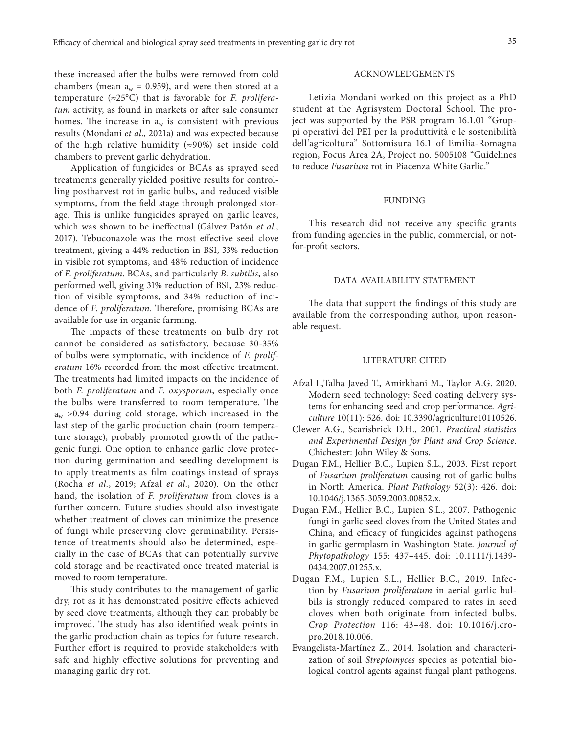these increased after the bulbs were removed from cold chambers (mean  $a_w = 0.959$ ), and were then stored at a temperature (≈25°C) that is favorable for *F. proliferatum* activity, as found in markets or after sale consumer homes. The increase in  $a_w$  is consistent with previous results (Mondani *et al*., 2021a) and was expected because of the high relative humidity  $(\approx 90\%)$  set inside cold chambers to prevent garlic dehydration.

Application of fungicides or BCAs as sprayed seed treatments generally yielded positive results for controlling postharvest rot in garlic bulbs, and reduced visible symptoms, from the field stage through prolonged storage. This is unlike fungicides sprayed on garlic leaves, which was shown to be ineffectual (Gálvez Patón *et al.,* 2017). Tebuconazole was the most effective seed clove treatment, giving a 44% reduction in BSI, 33% reduction in visible rot symptoms, and 48% reduction of incidence of *F. proliferatum*. BCAs, and particularly *B. subtilis*, also performed well, giving 31% reduction of BSI, 23% reduction of visible symptoms, and 34% reduction of incidence of *F. proliferatum*. Therefore, promising BCAs are available for use in organic farming.

The impacts of these treatments on bulb dry rot cannot be considered as satisfactory, because 30-35% of bulbs were symptomatic, with incidence of *F. proliferatum* 16% recorded from the most effective treatment. The treatments had limited impacts on the incidence of both *F. proliferatum* and *F. oxysporum*, especially once the bulbs were transferred to room temperature. The  $a_w$  >0.94 during cold storage, which increased in the last step of the garlic production chain (room temperature storage), probably promoted growth of the pathogenic fungi. One option to enhance garlic clove protection during germination and seedling development is to apply treatments as film coatings instead of sprays (Rocha *et al.*, 2019; Afzal *et al.*, 2020). On the other hand, the isolation of *F. proliferatum* from cloves is a further concern. Future studies should also investigate whether treatment of cloves can minimize the presence of fungi while preserving clove germinability. Persistence of treatments should also be determined, especially in the case of BCAs that can potentially survive cold storage and be reactivated once treated material is moved to room temperature.

This study contributes to the management of garlic dry, rot as it has demonstrated positive effects achieved by seed clove treatments, although they can probably be improved. The study has also identified weak points in the garlic production chain as topics for future research. Further effort is required to provide stakeholders with safe and highly effective solutions for preventing and managing garlic dry rot.

## ACKNOWLEDGEMENTS

Letizia Mondani worked on this project as a PhD student at the Agrisystem Doctoral School. The project was supported by the PSR program 16.1.01 "Gruppi operativi del PEI per la produttività e le sostenibilità dell'agricoltura" Sottomisura 16.1 of Emilia-Romagna region, Focus Area 2A, Project no. 5005108 "Guidelines to reduce *Fusarium* rot in Piacenza White Garlic."

## FUNDING

This research did not receive any specific grants from funding agencies in the public, commercial, or notfor-profit sectors.

## DATA AVAILABILITY STATEMENT

The data that support the findings of this study are available from the corresponding author, upon reasonable request.

#### LITERATURE CITED

- Afzal I.,Talha Javed T., Amirkhani M., Taylor A.G. 2020. Modern seed technology: Seed coating delivery systems for enhancing seed and crop performance. *Agriculture* 10(11): 526. doi: 10.3390/agriculture10110526.
- Clewer A.G., Scarisbrick D.H., 2001. *Practical statistics and Experimental Design for Plant and Crop Science*. Chichester: John Wiley & Sons.
- Dugan F.M., Hellier B.C., Lupien S.L., 2003. First report of *Fusarium proliferatum* causing rot of garlic bulbs in North America. *Plant Pathology* 52(3): 426. doi: 10.1046/j.1365-3059.2003.00852.x.
- Dugan F.M., Hellier B.C., Lupien S.L., 2007. Pathogenic fungi in garlic seed cloves from the United States and China, and efficacy of fungicides against pathogens in garlic germplasm in Washington State. *Journal of Phytopathology* 155: 437–445. doi: 10.1111/j.1439- 0434.2007.01255.x.
- Dugan F.M., Lupien S.L., Hellier B.C., 2019. Infection by *Fusarium proliferatum* in aerial garlic bulbils is strongly reduced compared to rates in seed cloves when both originate from infected bulbs. *Crop Protection* 116: 43–48. doi: 10.1016/j.cropro.2018.10.006.
- Evangelista-Martínez Z., 2014. Isolation and characterization of soil *Streptomyces* species as potential biological control agents against fungal plant pathogens.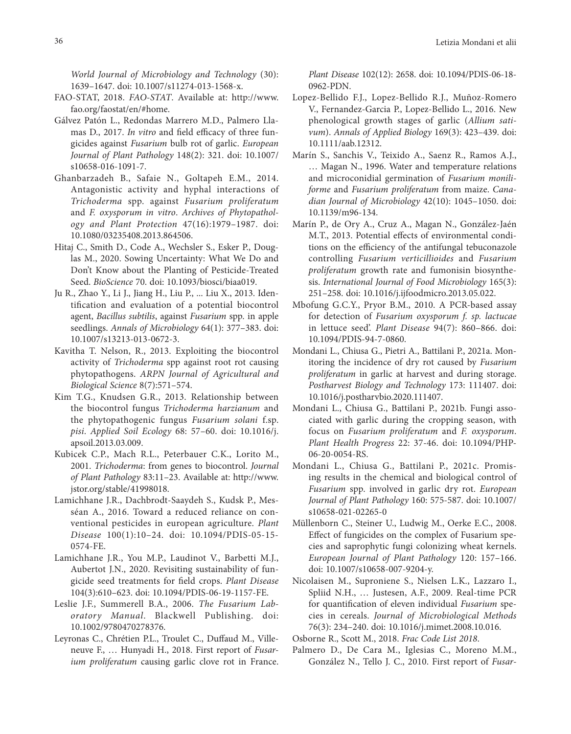*World Journal of Microbiology and Technology* (30): 1639–1647. doi: 10.1007/s11274-013-1568-x.

- FAO-STAT, 2018. *FAO-STAT*. Available at: http://www. fao.org/faostat/en/#home.
- Gálvez Patón L., Redondas Marrero M.D., Palmero Llamas D., 2017. *In vitro* and field efficacy of three fungicides against *Fusarium* bulb rot of garlic. *European Journal of Plant Pathology* 148(2): 321. doi: 10.1007/ s10658-016-1091-7.
- Ghanbarzadeh B., Safaie N., Goltapeh E.M., 2014. Antagonistic activity and hyphal interactions of *Trichoderma* spp. against *Fusarium proliferatum* and *F. oxysporum in vitro*. *Archives of Phytopathology and Plant Protection* 47(16):1979–1987. doi: 10.1080/03235408.2013.864506.
- Hitaj C., Smith D., Code A., Wechsler S., Esker P., Douglas M., 2020. Sowing Uncertainty: What We Do and Don't Know about the Planting of Pesticide-Treated Seed. *BioScience* 70. doi: 10.1093/biosci/biaa019.
- Ju R., Zhao Y., Li J., Jiang H., Liu P., ... Liu X., 2013. Identification and evaluation of a potential biocontrol agent, *Bacillus subtilis*, against *Fusarium* spp. in apple seedlings. *Annals of Microbiology* 64(1): 377–383. doi: 10.1007/s13213-013-0672-3.
- Kavitha T. Nelson, R., 2013. Exploiting the biocontrol activity of *Trichoderma* spp against root rot causing phytopathogens. *ARPN Journal of Agricultural and Biological Science* 8(7):571–574.
- Kim T.G., Knudsen G.R., 2013. Relationship between the biocontrol fungus *Trichoderma harzianum* and the phytopathogenic fungus *Fusarium solani* f.sp. *pisi*. *Applied Soil Ecology* 68: 57–60. doi: 10.1016/j. apsoil.2013.03.009.
- Kubicek C.P., Mach R.L., Peterbauer C.K., Lorito M., 2001. *Trichoderma*: from genes to biocontrol. *Journal of Plant Pathology* 83:11–23. Available at: http://www. jstor.org/stable/41998018.
- Lamichhane J.R., Dachbrodt-Saaydeh S., Kudsk P., Messéan A., 2016. Toward a reduced reliance on conventional pesticides in european agriculture. *Plant Disease* 100(1):10–24. doi: 10.1094/PDIS-05-15- 0574-FE.
- Lamichhane J.R., You M.P., Laudinot V., Barbetti M.J., Aubertot J.N., 2020. Revisiting sustainability of fungicide seed treatments for field crops. *Plant Disease* 104(3):610–623. doi: 10.1094/PDIS-06-19-1157-FE.
- Leslie J.F., Summerell B.A., 2006. *The Fusarium Laboratory Manual*. Blackwell Publishing. doi: 10.1002/9780470278376.
- Leyronas C., Chrétien P.L., Troulet C., Duffaud M., Villeneuve F., … Hunyadi H., 2018. First report of *Fusarium proliferatum* causing garlic clove rot in France.

*Plant Disease* 102(12): 2658. doi: 10.1094/PDIS-06-18- 0962-PDN.

- Lopez‐Bellido F.J., Lopez‐Bellido R.J., Muñoz‐Romero V., Fernandez‐Garcia P., Lopez‐Bellido L., 2016. New phenological growth stages of garlic (*Allium sativum*). *Annals of Applied Biology* 169(3): 423–439. doi: 10.1111/aab.12312.
- Marín S., Sanchis V., Teixido A., Saenz R., Ramos A.J., … Magan N., 1996. Water and temperature relations and microconidial germination of *Fusarium moniliforme* and *Fusarium proliferatum* from maize. *Canadian Journal of Microbiology* 42(10): 1045–1050. doi: 10.1139/m96-134.
- Marín P., de Ory A., Cruz A., Magan N., González-Jaén M.T., 2013. Potential effects of environmental conditions on the efficiency of the antifungal tebuconazole controlling *Fusarium verticillioides* and *Fusarium proliferatum* growth rate and fumonisin biosynthesis. *International Journal of Food Microbiology* 165(3): 251–258. doi: 10.1016/j.ijfoodmicro.2013.05.022.
- Mbofung G.C.Y., Pryor B.M., 2010. A PCR-based assay for detection of *Fusarium oxysporum f. sp. lactucae* in lettuce seed'. *Plant Disease* 94(7): 860–866. doi: 10.1094/PDIS-94-7-0860.
- Mondani L., Chiusa G., Pietri A., Battilani P., 2021a. Monitoring the incidence of dry rot caused by *Fusarium proliferatum* in garlic at harvest and during storage. *Postharvest Biology and Technology* 173: 111407. doi: 10.1016/j.postharvbio.2020.111407.
- Mondani L., Chiusa G., Battilani P., 2021b. Fungi associated with garlic during the cropping season, with focus on *Fusarium proliferatum* and *F. oxysporum*. *Plant Health Progress* 22: 37-46. doi: 10.1094/PHP-06-20-0054-RS.
- Mondani L., Chiusa G., Battilani P., 2021c. Promising results in the chemical and biological control of *Fusarium* spp. involved in garlic dry rot. *European Journal of Plant Pathology* 160: 575-587. doi: 10.1007/ s10658-021-02265-0
- Müllenborn C., Steiner U., Ludwig M., Oerke E.C., 2008. Effect of fungicides on the complex of Fusarium species and saprophytic fungi colonizing wheat kernels. *European Journal of Plant Pathology* 120: 157–166. doi: 10.1007/s10658-007-9204-y.
- Nicolaisen M., Suproniene S., Nielsen L.K., Lazzaro I., Spliid N.H., … Justesen, A.F., 2009. Real-time PCR for quantification of eleven individual *Fusarium* species in cereals. *Journal of Microbiological Methods* 76(3): 234–240. doi: 10.1016/j.mimet.2008.10.016.
- Osborne R., Scott M., 2018. *Frac Code List 2018*.
- Palmero D., De Cara M., Iglesias C., Moreno M.M., González N., Tello J. C., 2010. First report of *Fusar-*